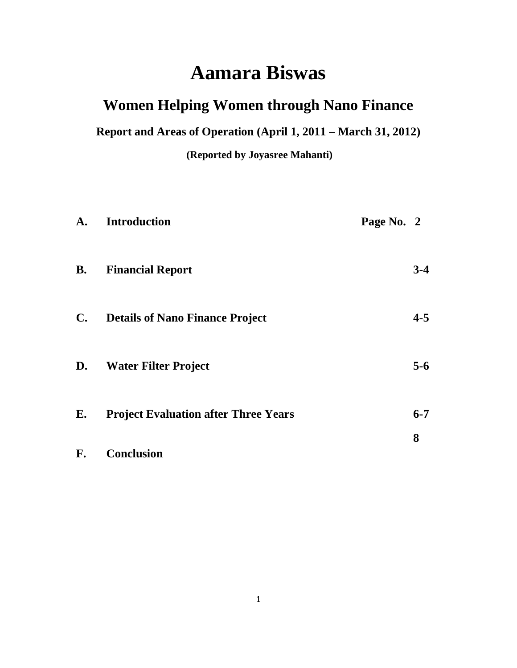# **Aamara Biswas**

# **Women Helping Women through Nano Finance**

**Report and Areas of Operation (April 1, 2011 – March 31, 2012)**

**(Reported by Joyasree Mahanti)**

| A.             | <b>Introduction</b>                         | Page No. 2 |         |
|----------------|---------------------------------------------|------------|---------|
| <b>B.</b>      | <b>Financial Report</b>                     |            | $3-4$   |
| $\mathbf{C}$ . | <b>Details of Nano Finance Project</b>      |            | $4 - 5$ |
| D.             | <b>Water Filter Project</b>                 |            | $5-6$   |
| E.             | <b>Project Evaluation after Three Years</b> |            | $6 - 7$ |
| F.             | Conclusion                                  |            | 8       |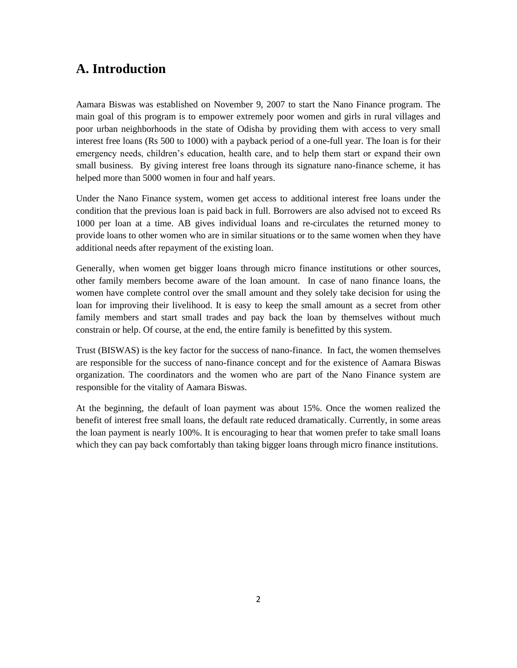# **A. Introduction**

Aamara Biswas was established on November 9, 2007 to start the Nano Finance program. The main goal of this program is to empower extremely poor women and girls in rural villages and poor urban neighborhoods in the state of Odisha by providing them with access to very small interest free loans (Rs 500 to 1000) with a payback period of a one-full year. The loan is for their emergency needs, children's education, health care, and to help them start or expand their own small business. By giving interest free loans through its signature nano-finance scheme, it has helped more than 5000 women in four and half years.

Under the Nano Finance system, women get access to additional interest free loans under the condition that the previous loan is paid back in full. Borrowers are also advised not to exceed Rs 1000 per loan at a time. AB gives individual loans and re-circulates the returned money to provide loans to other women who are in similar situations or to the same women when they have additional needs after repayment of the existing loan.

Generally, when women get bigger loans through micro finance institutions or other sources, other family members become aware of the loan amount. In case of nano finance loans, the women have complete control over the small amount and they solely take decision for using the loan for improving their livelihood. It is easy to keep the small amount as a secret from other family members and start small trades and pay back the loan by themselves without much constrain or help. Of course, at the end, the entire family is benefitted by this system.

Trust (BISWAS) is the key factor for the success of nano-finance. In fact, the women themselves are responsible for the success of nano-finance concept and for the existence of Aamara Biswas organization. The coordinators and the women who are part of the Nano Finance system are responsible for the vitality of Aamara Biswas.

At the beginning, the default of loan payment was about 15%. Once the women realized the benefit of interest free small loans, the default rate reduced dramatically. Currently, in some areas the loan payment is nearly 100%. It is encouraging to hear that women prefer to take small loans which they can pay back comfortably than taking bigger loans through micro finance institutions.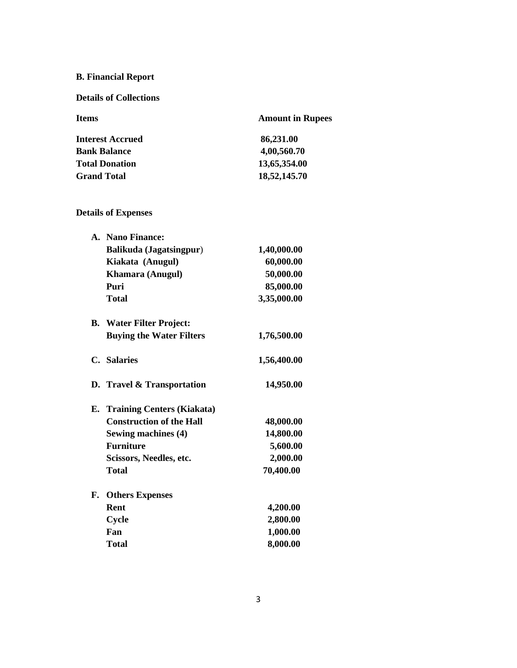## **B. Financial Report**

#### **Details of Collections**

| <b>Items</b>            | <b>Amount in Rupees</b> |
|-------------------------|-------------------------|
| <b>Interest Accrued</b> | 86,231.00               |
| <b>Bank Balance</b>     | 4,00,560.70             |
| <b>Total Donation</b>   | 13,65,354.00            |
| <b>Grand Total</b>      | 18,52,145.70            |

#### **Details of Expenses**

|    | A. Nano Finance:                |             |
|----|---------------------------------|-------------|
|    | <b>Balikuda</b> (Jagatsingpur)  | 1,40,000.00 |
|    | Kiakata (Anugul)                | 60,000.00   |
|    | Khamara (Anugul)                | 50,000.00   |
|    | Puri                            | 85,000.00   |
|    | <b>Total</b>                    | 3,35,000.00 |
|    | <b>B.</b> Water Filter Project: |             |
|    | <b>Buying the Water Filters</b> | 1,76,500.00 |
|    | C. Salaries                     | 1,56,400.00 |
|    | D. Travel & Transportation      | 14,950.00   |
|    | E. Training Centers (Kiakata)   |             |
|    | <b>Construction of the Hall</b> | 48,000.00   |
|    | Sewing machines (4)             | 14,800.00   |
|    | <b>Furniture</b>                | 5,600.00    |
|    | Scissors, Needles, etc.         | 2,000.00    |
|    | <b>Total</b>                    | 70,400.00   |
| F. | <b>Others Expenses</b>          |             |
|    | <b>Rent</b>                     | 4,200.00    |
|    | Cycle                           | 2,800.00    |
|    | Fan                             | 1,000.00    |
|    | <b>Total</b>                    | 8,000.00    |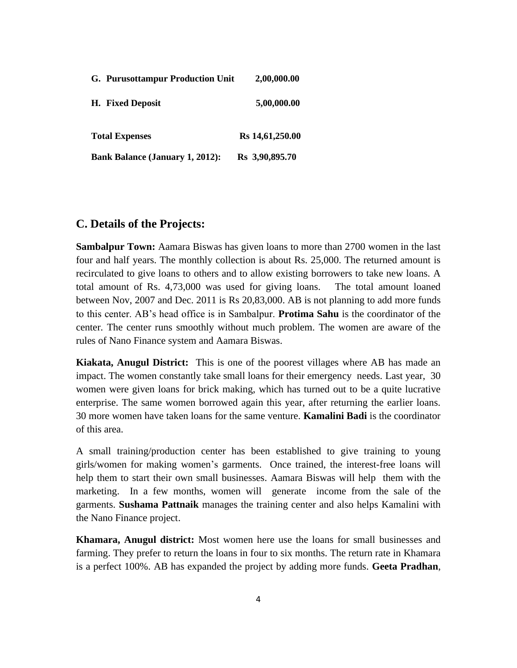| <b>G. Purusottampur Production Unit</b> | 2,00,000.00     |
|-----------------------------------------|-----------------|
| H. Fixed Deposit                        | 5,00,000.00     |
| <b>Total Expenses</b>                   | Rs 14,61,250.00 |
| <b>Bank Balance (January 1, 2012):</b>  | Rs 3,90,895.70  |

#### **C. Details of the Projects:**

**Sambalpur Town:** Aamara Biswas has given loans to more than 2700 women in the last four and half years. The monthly collection is about Rs. 25,000. The returned amount is recirculated to give loans to others and to allow existing borrowers to take new loans. A total amount of Rs. 4,73,000 was used for giving loans. The total amount loaned between Nov, 2007 and Dec. 2011 is Rs 20,83,000. AB is not planning to add more funds to this center. AB's head office is in Sambalpur. **Protima Sahu** is the coordinator of the center. The center runs smoothly without much problem. The women are aware of the rules of Nano Finance system and Aamara Biswas.

**Kiakata, Anugul District:** This is one of the poorest villages where AB has made an impact. The women constantly take small loans for their emergency needs. Last year, 30 women were given loans for brick making, which has turned out to be a quite lucrative enterprise. The same women borrowed again this year, after returning the earlier loans. 30 more women have taken loans for the same venture. **Kamalini Badi** is the coordinator of this area.

A small training/production center has been established to give training to young girls/women for making women's garments. Once trained, the interest-free loans will help them to start their own small businesses. Aamara Biswas will help them with the marketing. In a few months, women will generate income from the sale of the garments. **Sushama Pattnaik** manages the training center and also helps Kamalini with the Nano Finance project.

**Khamara, Anugul district:** Most women here use the loans for small businesses and farming. They prefer to return the loans in four to six months. The return rate in Khamara is a perfect 100%. AB has expanded the project by adding more funds. **Geeta Pradhan**,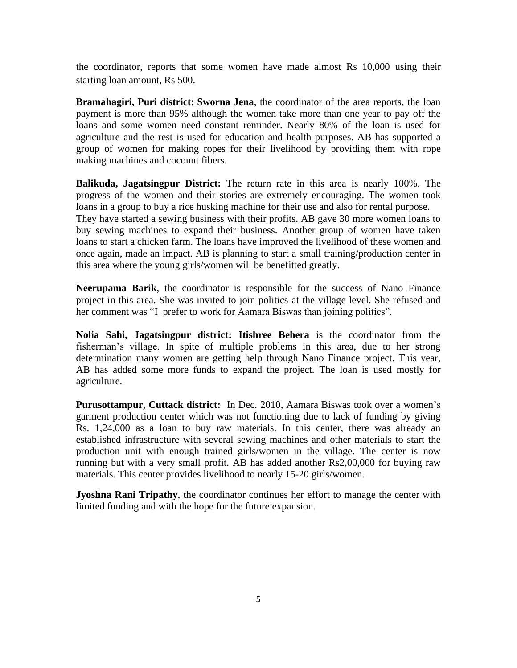the coordinator, reports that some women have made almost Rs 10,000 using their starting loan amount, Rs 500.

**Bramahagiri, Puri district**: **Sworna Jena**, the coordinator of the area reports, the loan payment is more than 95% although the women take more than one year to pay off the loans and some women need constant reminder. Nearly 80% of the loan is used for agriculture and the rest is used for education and health purposes. AB has supported a group of women for making ropes for their livelihood by providing them with rope making machines and coconut fibers.

**Balikuda, Jagatsingpur District:** The return rate in this area is nearly 100%. The progress of the women and their stories are extremely encouraging. The women took loans in a group to buy a rice husking machine for their use and also for rental purpose. They have started a sewing business with their profits. AB gave 30 more women loans to buy sewing machines to expand their business. Another group of women have taken loans to start a chicken farm. The loans have improved the livelihood of these women and once again, made an impact. AB is planning to start a small training/production center in this area where the young girls/women will be benefitted greatly.

**Neerupama Barik**, the coordinator is responsible for the success of Nano Finance project in this area. She was invited to join politics at the village level. She refused and her comment was "I prefer to work for Aamara Biswas than joining politics".

**Nolia Sahi, Jagatsingpur district: Itishree Behera** is the coordinator from the fisherman's village. In spite of multiple problems in this area, due to her strong determination many women are getting help through Nano Finance project. This year, AB has added some more funds to expand the project. The loan is used mostly for agriculture.

**Purusottampur, Cuttack district:** In Dec. 2010, Aamara Biswas took over a women's garment production center which was not functioning due to lack of funding by giving Rs. 1,24,000 as a loan to buy raw materials. In this center, there was already an established infrastructure with several sewing machines and other materials to start the production unit with enough trained girls/women in the village. The center is now running but with a very small profit. AB has added another Rs2,00,000 for buying raw materials. This center provides livelihood to nearly 15-20 girls/women.

**Jyoshna Rani Tripathy**, the coordinator continues her effort to manage the center with limited funding and with the hope for the future expansion.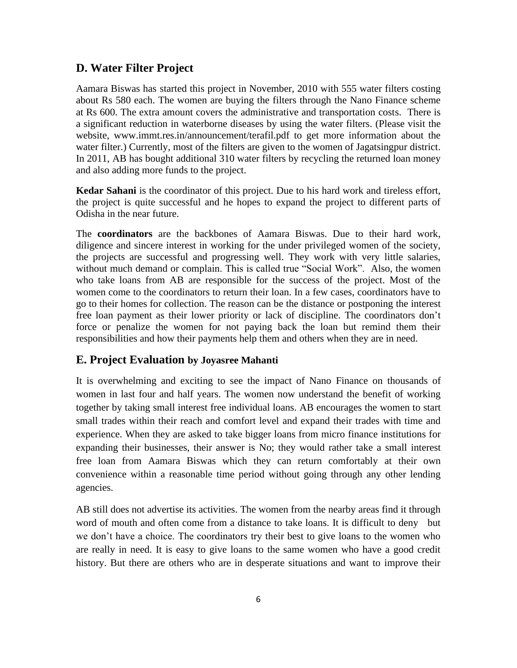#### **D. Water Filter Project**

Aamara Biswas has started this project in November, 2010 with 555 water filters costing about Rs 580 each. The women are buying the filters through the Nano Finance scheme at Rs 600. The extra amount covers the administrative and transportation costs. There is a significant reduction in waterborne diseases by using the water filters. (Please visit the website, www.immt.res.in/announcement/terafil.pdf to get more information about the water filter.) Currently, most of the filters are given to the women of Jagatsingpur district. In 2011, AB has bought additional 310 water filters by recycling the returned loan money and also adding more funds to the project.

**Kedar Sahani** is the coordinator of this project. Due to his hard work and tireless effort, the project is quite successful and he hopes to expand the project to different parts of Odisha in the near future.

The **coordinators** are the backbones of Aamara Biswas. Due to their hard work, diligence and sincere interest in working for the under privileged women of the society, the projects are successful and progressing well. They work with very little salaries, without much demand or complain. This is called true "Social Work". Also, the women who take loans from AB are responsible for the success of the project. Most of the women come to the coordinators to return their loan. In a few cases, coordinators have to go to their homes for collection. The reason can be the distance or postponing the interest free loan payment as their lower priority or lack of discipline. The coordinators don't force or penalize the women for not paying back the loan but remind them their responsibilities and how their payments help them and others when they are in need.

#### **E. Project Evaluation by Joyasree Mahanti**

It is overwhelming and exciting to see the impact of Nano Finance on thousands of women in last four and half years. The women now understand the benefit of working together by taking small interest free individual loans. AB encourages the women to start small trades within their reach and comfort level and expand their trades with time and experience. When they are asked to take bigger loans from micro finance institutions for expanding their businesses, their answer is No; they would rather take a small interest free loan from Aamara Biswas which they can return comfortably at their own convenience within a reasonable time period without going through any other lending agencies.

AB still does not advertise its activities. The women from the nearby areas find it through word of mouth and often come from a distance to take loans. It is difficult to deny but we don't have a choice. The coordinators try their best to give loans to the women who are really in need. It is easy to give loans to the same women who have a good credit history. But there are others who are in desperate situations and want to improve their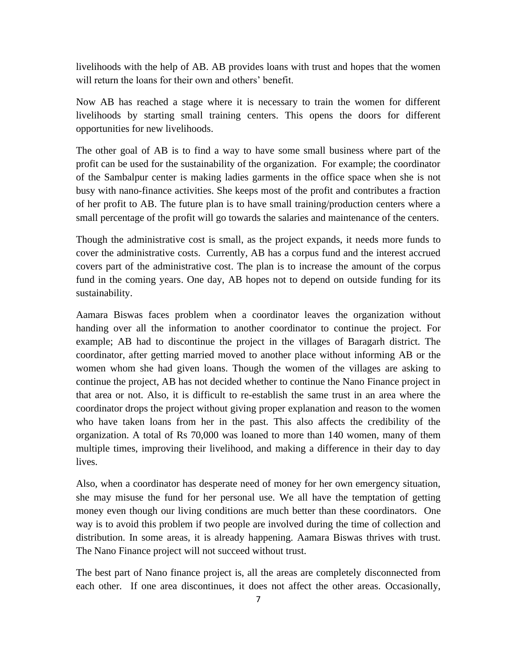livelihoods with the help of AB. AB provides loans with trust and hopes that the women will return the loans for their own and others' benefit.

Now AB has reached a stage where it is necessary to train the women for different livelihoods by starting small training centers. This opens the doors for different opportunities for new livelihoods.

The other goal of AB is to find a way to have some small business where part of the profit can be used for the sustainability of the organization. For example; the coordinator of the Sambalpur center is making ladies garments in the office space when she is not busy with nano-finance activities. She keeps most of the profit and contributes a fraction of her profit to AB. The future plan is to have small training/production centers where a small percentage of the profit will go towards the salaries and maintenance of the centers.

Though the administrative cost is small, as the project expands, it needs more funds to cover the administrative costs. Currently, AB has a corpus fund and the interest accrued covers part of the administrative cost. The plan is to increase the amount of the corpus fund in the coming years. One day, AB hopes not to depend on outside funding for its sustainability.

Aamara Biswas faces problem when a coordinator leaves the organization without handing over all the information to another coordinator to continue the project. For example; AB had to discontinue the project in the villages of Baragarh district. The coordinator, after getting married moved to another place without informing AB or the women whom she had given loans. Though the women of the villages are asking to continue the project, AB has not decided whether to continue the Nano Finance project in that area or not. Also, it is difficult to re-establish the same trust in an area where the coordinator drops the project without giving proper explanation and reason to the women who have taken loans from her in the past. This also affects the credibility of the organization. A total of Rs 70,000 was loaned to more than 140 women, many of them multiple times, improving their livelihood, and making a difference in their day to day lives.

Also, when a coordinator has desperate need of money for her own emergency situation, she may misuse the fund for her personal use. We all have the temptation of getting money even though our living conditions are much better than these coordinators. One way is to avoid this problem if two people are involved during the time of collection and distribution. In some areas, it is already happening. Aamara Biswas thrives with trust. The Nano Finance project will not succeed without trust.

The best part of Nano finance project is, all the areas are completely disconnected from each other. If one area discontinues, it does not affect the other areas. Occasionally,